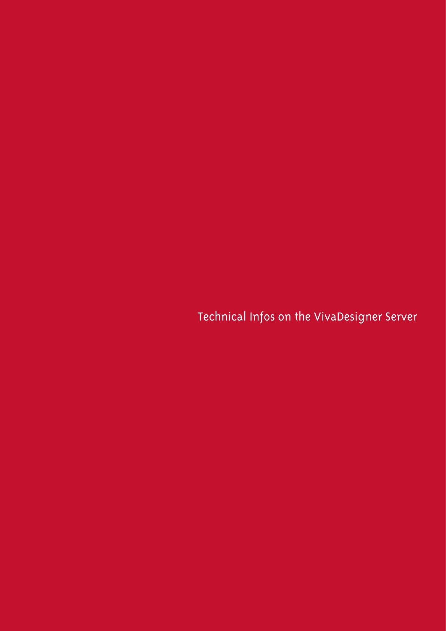Technical Infos on the VivaDesigner Server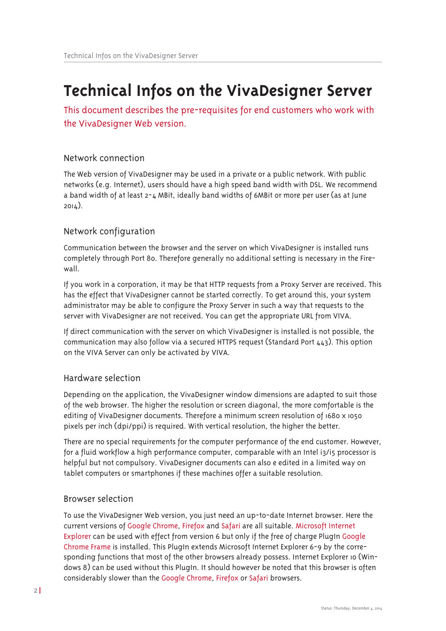# **Technical Infos on the VivaDesigner Server**

This document describes the pre-requisites for end customers who work with the VivaDesigner Web version.

### Network connection

The Web version of VivaDesigner may be used in a private or a public network. With public networks (e.g. Internet), users should have a high speed band width with DSL. We recommend a band width of at least 2-4 MBit, ideally band widths of 6MBit or more per user (as at June  $2014$ ).

## Network configuration

Communication between the browser and the server on which VivaDesigner is installed runs completely through Port 80. Therefore generally no additional setting is necessary in the Firewall.

If you work in a corporation, it may be that HTTP requests from a Proxy Server are received. This has the effect that VivaDesigner cannot be started correctly. To get around this, your system administrator may be able to configure the Proxy Server in such a way that requests to the server with VivaDesigner are not received. You can get the appropriate URL from VIVA.

If direct communication with the server on which VivaDesigner is installed is not possible, the communication may also follow via a secured HTTPS request (Standard Port  $443$ ). This option on the VIVA Server can only be activated by VIVA.

#### Hardware selection

Depending on the application, the VivaDesigner window dimensions are adapted to suit those of the web browser. The higher the resolution or screen diagonal, the more comfortable is the editing of VivaDesigner documents. Therefore a minimum screen resolution of 1680 x 1050 pixels per inch (dpi/ppi) is required. With vertical resolution, the higher the better.

There are no special requirements for the computer performance of the end customer. However, for a fluid workflow a high performance computer, comparable with an Intel i3/i5 processor is helpful but not compulsory. VivaDesigner documents can also e edited in a limited way on tablet computers or smartphones if these machines offer a suitable resolution.

#### Browser selection

To use the VivaDesigner Web version, you just need an up-to-date Internet browser. Here the current versions of Google Chrome, Firefox and Safari are all suitable. Microsoft Internet Explorer can be used with effect from version 6 but only if the free of charge PlugIn Google Chrome Frame is installed. This Plugin extends Microsoft Internet Explorer 6-9 by the corresponding functions that most of the other browsers already possess. Internet Explorer 10 (Windows 8) can be used without this PlugIn. It should however be noted that this browser is often considerably slower than the Google Chrome, Firefox or Safari browsers.